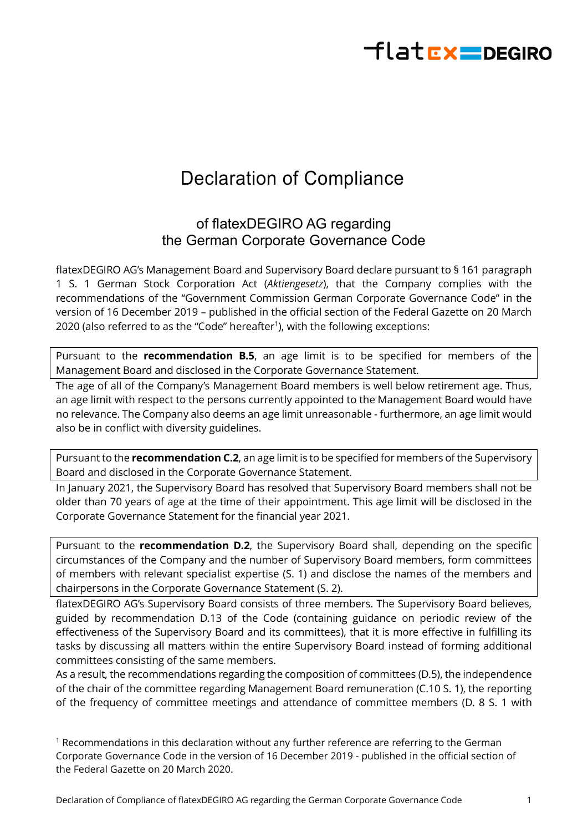## $H$ latr $x$  = DEGIRO

## Declaration of Compliance

## of flatexDEGIRO AG regarding the German Corporate Governance Code

flatexDEGIRO AG's Management Board and Supervisory Board declare pursuant to § 161 paragraph 1 S. 1 German Stock Corporation Act (*Aktiengesetz*), that the Company complies with the recommendations of the "Government Commission German Corporate Governance Code" in the version of 16 December 2019 – published in the official section of the Federal Gazette on 20 March 2020 (also referred to as the "Code" hereafter<sup>1</sup>), with the following exceptions:

Pursuant to the **recommendation B.5**, an age limit is to be specified for members of the Management Board and disclosed in the Corporate Governance Statement.

The age of all of the Company's Management Board members is well below retirement age. Thus, an age limit with respect to the persons currently appointed to the Management Board would have no relevance. The Company also deems an age limit unreasonable - furthermore, an age limit would also be in conflict with diversity guidelines.

Pursuant to the **recommendation C.2**, an age limit is to be specified for members of the Supervisory Board and disclosed in the Corporate Governance Statement.

In January 2021, the Supervisory Board has resolved that Supervisory Board members shall not be older than 70 years of age at the time of their appointment. This age limit will be disclosed in the Corporate Governance Statement for the financial year 2021.

Pursuant to the **recommendation D.2**, the Supervisory Board shall, depending on the specific circumstances of the Company and the number of Supervisory Board members, form committees of members with relevant specialist expertise (S. 1) and disclose the names of the members and chairpersons in the Corporate Governance Statement (S. 2).

flatexDEGIRO AG's Supervisory Board consists of three members. The Supervisory Board believes, guided by recommendation D.13 of the Code (containing guidance on periodic review of the effectiveness of the Supervisory Board and its committees), that it is more effective in fulfilling its tasks by discussing all matters within the entire Supervisory Board instead of forming additional committees consisting of the same members.

As a result, the recommendations regarding the composition of committees (D.5), the independence of the chair of the committee regarding Management Board remuneration (C.10 S. 1), the reporting of the frequency of committee meetings and attendance of committee members (D. 8 S. 1 with

 $<sup>1</sup>$  Recommendations in this declaration without any further reference are referring to the German</sup> Corporate Governance Code in the version of 16 December 2019 - published in the official section of the Federal Gazette on 20 March 2020.